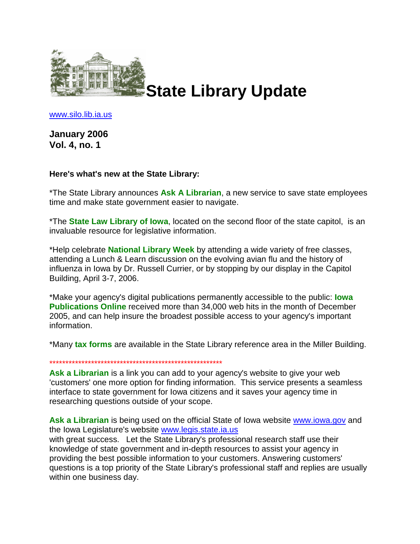

www.silo.lib.ia.us

**January 2006 Vol. 4, no. 1**

## **Here's what's new at the State Library:**

\*The State Library announces **Ask A Librarian**, a new service to save state employees time and make state government easier to navigate.

\*The **State Law Library of Iowa**, located on the second floor of the state capitol, is an invaluable resource for legislative information.

\*Help celebrate **National Library Week** by attending a wide variety of free classes, attending a Lunch & Learn discussion on the evolving avian flu and the history of influenza in Iowa by Dr. Russell Currier, or by stopping by our display in the Capitol Building, April 3-7, 2006.

\*Make your agency's digital publications permanently accessible to the public: **Iowa Publications Online** received more than 34,000 web hits in the month of December 2005, and can help insure the broadest possible access to your agency's important information.

\*Many **tax forms** are available in the State Library reference area in the Miller Building.

\*\*\*\*\*\*\*\*\*\*\*\*\*\*\*\*\*\*\*\*\*\*\*\*\*\*\*\*\*\*\*\*\*\*\*\*\*\*\*\*\*\*\*\*\*\*\*\*\*\*\*\*\*\*

**Ask a Librarian** is a link you can add to your agency's website to give your web 'customers' one more option for finding information. This service presents a seamless interface to state government for Iowa citizens and it saves your agency time in researching questions outside of your scope.

**Ask a Librarian** is being used on the official State of Iowa website www.iowa.gov and the Iowa Legislature's website www.legis.state.ia.us with great success. Let the State Library's professional research staff use their knowledge of state government and in-depth resources to assist your agency in providing the best possible information to your customers. Answering customers'

questions is a top priority of the State Library's professional staff and replies are usually within one business day.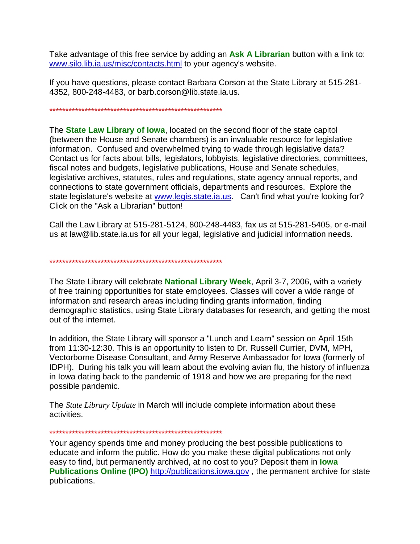Take advantage of this free service by adding an **Ask A Librarian** button with a link to: www.silo.lib.ia.us/misc/contacts.html to your agency's website.

If you have questions, please contact Barbara Corson at the State Library at 515-281- 4352, 800-248-4483, or barb.corson@lib.state.ia.us.

## \*\*\*\*\*\*\*\*\*\*\*\*\*\*\*\*\*\*\*\*\*\*\*\*\*\*\*\*\*\*\*\*\*\*\*\*\*\*\*\*\*\*\*\*\*\*\*\*\*\*\*\*\*\*

\*\*\*\*\*\*\*\*\*\*\*\*\*\*\*\*\*\*\*\*\*\*\*\*\*\*\*\*\*\*\*\*\*\*\*\*\*\*\*\*\*\*\*\*\*\*\*\*\*\*\*\*\*\*

out of the internet.

The **State Law Library of Iowa**, located on the second floor of the state capitol (between the House and Senate chambers) is an invaluable resource for legislative information. Confused and overwhelmed trying to wade through legislative data? Contact us for facts about bills, legislators, lobbyists, legislative directories, committees, fiscal notes and budgets, legislative publications, House and Senate schedules, legislative archives, statutes, rules and regulations, state agency annual reports, and connections to state government officials, departments and resources. Explore the state legislature's website at www.legis.state.ia.us. Can't find what you're looking for? Click on the "Ask a Librarian" button!

Call the Law Library at 515-281-5124, 800-248-4483, fax us at 515-281-5405, or e-mail us at law@lib.state.ia.us for all your legal, legislative and judicial information needs.

The State Library will celebrate **National Library Week**, April 3-7, 2006, with a variety of free training opportunities for state employees. Classes will cover a wide range of information and research areas including finding grants information, finding demographic statistics, using State Library databases for research, and getting the most

In addition, the State Library will sponsor a "Lunch and Learn" session on April 15th from 11:30-12:30. This is an opportunity to listen to Dr. Russell Currier, DVM, MPH, Vectorborne Disease Consultant, and Army Reserve Ambassador for Iowa (formerly of IDPH). During his talk you will learn about the evolving avian flu, the history of influenza in Iowa dating back to the pandemic of 1918 and how we are preparing for the next possible pandemic.

The *State Library Update* in March will include complete information about these activities.

\*\*\*\*\*\*\*\*\*\*\*\*\*\*\*\*\*\*\*\*\*\*\*\*\*\*\*\*\*\*\*\*\*\*\*\*\*\*\*\*\*\*\*\*\*\*\*\*\*\*\*\*\*\*

Your agency spends time and money producing the best possible publications to educate and inform the public. How do you make these digital publications not only easy to find, but permanently archived, at no cost to you? Deposit them in **Iowa Publications Online (IPO)** http://*publications.iowa.gov*, the permanent archive for state publications.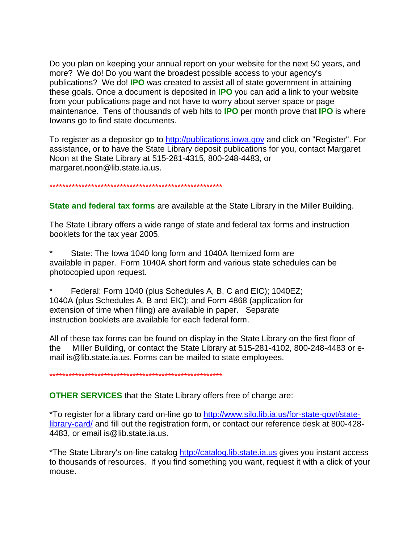Do you plan on keeping your annual report on your website for the next 50 years, and more? We do! Do you want the broadest possible access to your agency's publications? We do! **IPO** was created to assist all of state government in attaining these goals. Once a document is deposited in **IPO** you can add a link to your website from your publications page and not have to worry about server space or page maintenance. Tens of thousands of web hits to IPO per month prove that IPO is where lowans go to find state documents.

To register as a depositor go to http://publications.jowa.gov and click on "Register". For assistance, or to have the State Library deposit publications for you, contact Margaret Noon at the State Library at 515-281-4315, 800-248-4483, or margaret.noon@lib.state.ia.us.

**State and federal tax forms** are available at the State Library in the Miller Building.

The State Library offers a wide range of state and federal tax forms and instruction booklets for the tax year 2005.

State: The lowa 1040 long form and 1040A Itemized form are available in paper. Form 1040A short form and various state schedules can be photocopied upon request.

Federal: Form 1040 (plus Schedules A, B, C and EIC); 1040EZ; 1040A (plus Schedules A, B and EIC); and Form 4868 (application for extension of time when filing) are available in paper. Separate instruction booklets are available for each federal form.

All of these tax forms can be found on display in the State Library on the first floor of the Miller Building, or contact the State Library at 515-281-4102, 800-248-4483 or email is @lib.state.ia.us. Forms can be mailed to state employees.

**OTHER SERVICES** that the State Library offers free of charge are:

\*To register for a library card on-line go to http://www.silo.lib.ia.us/for-state-govt/statelibrary-card/ and fill out the registration form, or contact our reference desk at 800-428-4483, or email is @lib.state.ia.us.

\*The State Library's on-line catalog http://catalog.lib.state.ia.us gives you instant access to thousands of resources. If you find something you want, request it with a click of your mouse.